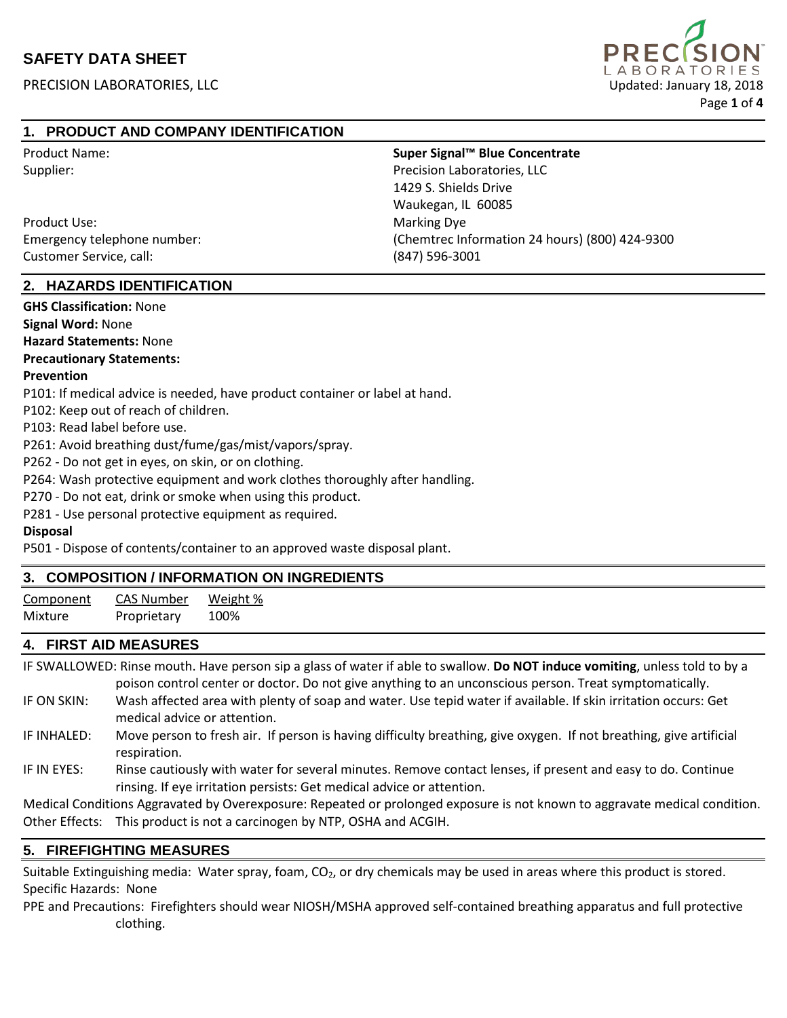## **SAFETY DATA SHEET**

PRECISION LABORATORIES, LLC **EXECUTATION ENTITLEMENT CONTROLLER ENCONTRACTS** Updated: January 18, 2018



### **1. PRODUCT AND COMPANY IDENTIFICATION**

Product Name: **Super Signal™ Blue Concentrate**

Product Use: National Contract Contract Contract Contract Contract Contract Contract Contract Contract Contract Contract Contract Contract Contract Contract Contract Contract Contract Contract Contract Contract Contract Co Customer Service, call: (847) 596-3001

Supplier: Supplier: Precision Laboratories, LLC 1429 S. Shields Drive Waukegan, IL 60085 Emergency telephone number: (Chemtrec Information 24 hours) (800) 424-9300

### **2. HAZARDS IDENTIFICATION**

**GHS Classification:** None **Signal Word:** None **Hazard Statements:** None **Precautionary Statements: Prevention** P101: If medical advice is needed, have product container or label at hand. P102: Keep out of reach of children. P103: Read label before use. P261: Avoid breathing dust/fume/gas/mist/vapors/spray. P262 - Do not get in eyes, on skin, or on clothing.

P264: Wash protective equipment and work clothes thoroughly after handling.

P270 - Do not eat, drink or smoke when using this product.

P281 - Use personal protective equipment as required.

#### **Disposal**

P501 - Dispose of contents/container to an approved waste disposal plant.

### **3. COMPOSITION / INFORMATION ON INGREDIENTS**

| Component | <b>CAS Number</b> | Weight % |
|-----------|-------------------|----------|
| Mixture   | Proprietary       | 100%     |

### **4. FIRST AID MEASURES**

IF SWALLOWED: Rinse mouth. Have person sip a glass of water if able to swallow. **Do NOT induce vomiting**, unless told to by a poison control center or doctor. Do not give anything to an unconscious person. Treat symptomatically.

- IF ON SKIN: Wash affected area with plenty of soap and water. Use tepid water if available. If skin irritation occurs: Get medical advice or attention.
- IF INHALED: Move person to fresh air. If person is having difficulty breathing, give oxygen. If not breathing, give artificial respiration.
- IF IN EYES: Rinse cautiously with water for several minutes. Remove contact lenses, if present and easy to do. Continue rinsing. If eye irritation persists: Get medical advice or attention.

Medical Conditions Aggravated by Overexposure: Repeated or prolonged exposure is not known to aggravate medical condition. Other Effects: This product is not a carcinogen by NTP, OSHA and ACGIH.

### **5. FIREFIGHTING MEASURES**

Suitable Extinguishing media: Water spray, foam,  $CO<sub>2</sub>$ , or dry chemicals may be used in areas where this product is stored. Specific Hazards: None

PPE and Precautions: Firefighters should wear NIOSH/MSHA approved self-contained breathing apparatus and full protective clothing.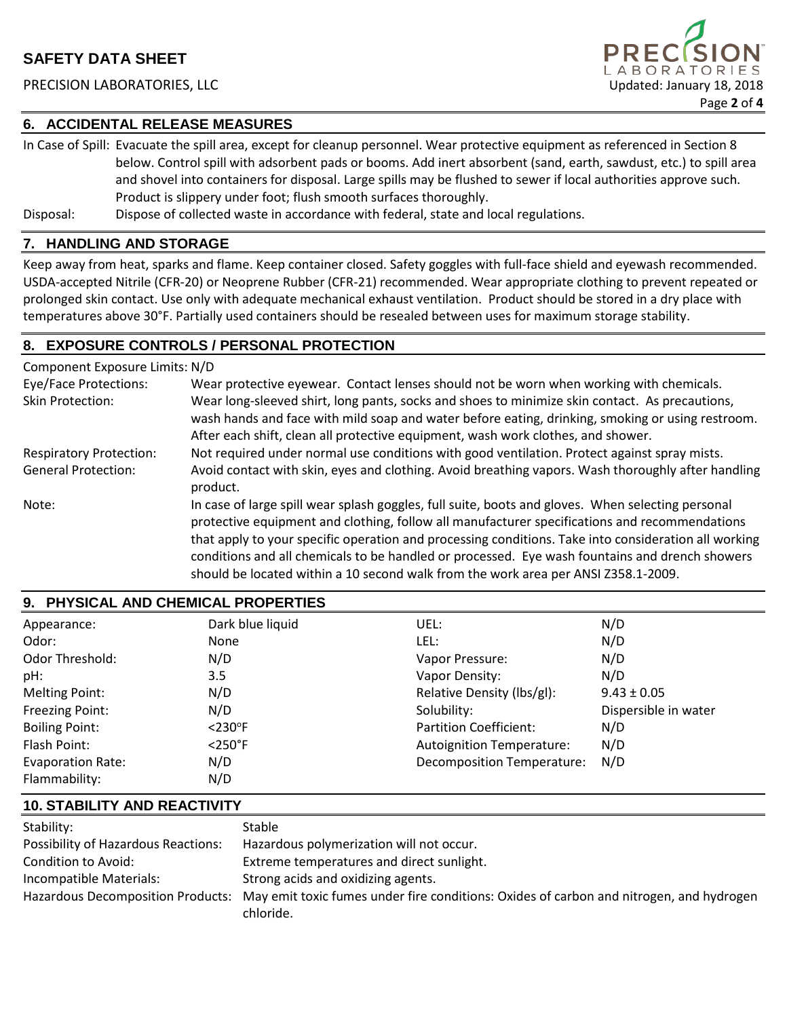### PRECISION LABORATORIES, LLC **Example 2018** Updated: January 18, 2018



#### **6. ACCIDENTAL RELEASE MEASURES**

In Case of Spill: Evacuate the spill area, except for cleanup personnel. Wear protective equipment as referenced in Section 8 below. Control spill with adsorbent pads or booms. Add inert absorbent (sand, earth, sawdust, etc.) to spill area and shovel into containers for disposal. Large spills may be flushed to sewer if local authorities approve such. Product is slippery under foot; flush smooth surfaces thoroughly.

Disposal: Dispose of collected waste in accordance with federal, state and local regulations.

#### **7. HANDLING AND STORAGE**

Keep away from heat, sparks and flame. Keep container closed. Safety goggles with full-face shield and eyewash recommended. USDA-accepted Nitrile (CFR-20) or Neoprene Rubber (CFR-21) recommended. Wear appropriate clothing to prevent repeated or prolonged skin contact. Use only with adequate mechanical exhaust ventilation. Product should be stored in a dry place with temperatures above 30°F. Partially used containers should be resealed between uses for maximum storage stability.

### **8. EXPOSURE CONTROLS / PERSONAL PROTECTION**

| Component Exposure Limits: N/D |                                                                                                                                                                                                                                                                                                                                                                                                                                                                                                    |
|--------------------------------|----------------------------------------------------------------------------------------------------------------------------------------------------------------------------------------------------------------------------------------------------------------------------------------------------------------------------------------------------------------------------------------------------------------------------------------------------------------------------------------------------|
| <b>Eye/Face Protections:</b>   | Wear protective eyewear. Contact lenses should not be worn when working with chemicals.                                                                                                                                                                                                                                                                                                                                                                                                            |
| Skin Protection:               | Wear long-sleeved shirt, long pants, socks and shoes to minimize skin contact. As precautions,<br>wash hands and face with mild soap and water before eating, drinking, smoking or using restroom.<br>After each shift, clean all protective equipment, wash work clothes, and shower.                                                                                                                                                                                                             |
| <b>Respiratory Protection:</b> | Not required under normal use conditions with good ventilation. Protect against spray mists.                                                                                                                                                                                                                                                                                                                                                                                                       |
| <b>General Protection:</b>     | Avoid contact with skin, eyes and clothing. Avoid breathing vapors. Wash thoroughly after handling<br>product.                                                                                                                                                                                                                                                                                                                                                                                     |
| Note:                          | In case of large spill wear splash goggles, full suite, boots and gloves. When selecting personal<br>protective equipment and clothing, follow all manufacturer specifications and recommendations<br>that apply to your specific operation and processing conditions. Take into consideration all working<br>conditions and all chemicals to be handled or processed. Eye wash fountains and drench showers<br>should be located within a 10 second walk from the work area per ANSI Z358.1-2009. |

|                          | 9. PHYSICAL AND CHEMICAL PROPERTIES |                                   |                      |
|--------------------------|-------------------------------------|-----------------------------------|----------------------|
| Appearance:              | Dark blue liquid                    | UEL:                              | N/D                  |
| Odor:                    | None                                | LEL:                              | N/D                  |
| <b>Odor Threshold:</b>   | N/D                                 | Vapor Pressure:                   | N/D                  |
| pH:                      | 3.5                                 | Vapor Density:                    | N/D                  |
| <b>Melting Point:</b>    | N/D                                 | Relative Density (lbs/gl):        | $9.43 \pm 0.05$      |
| Freezing Point:          | N/D                                 | Solubility:                       | Dispersible in water |
| <b>Boiling Point:</b>    | $<$ 230 $\degree$ F                 | Partition Coefficient:            | N/D                  |
| Flash Point:             | $<$ 250 $\degree$ F                 | <b>Autoignition Temperature:</b>  | N/D                  |
| <b>Evaporation Rate:</b> | N/D                                 | <b>Decomposition Temperature:</b> | N/D                  |
| Flammability:            | N/D                                 |                                   |                      |

### **10. STABILITY AND REACTIVITY**

| Stability:                                 | <b>Stable</b>                                                                                                             |
|--------------------------------------------|---------------------------------------------------------------------------------------------------------------------------|
| <b>Possibility of Hazardous Reactions:</b> | Hazardous polymerization will not occur.                                                                                  |
| <b>Condition to Avoid:</b>                 | Extreme temperatures and direct sunlight.                                                                                 |
| Incompatible Materials:                    | Strong acids and oxidizing agents.                                                                                        |
|                                            | Hazardous Decomposition Products: May emit toxic fumes under fire conditions: Oxides of carbon and nitrogen, and hydrogen |
|                                            | chloride.                                                                                                                 |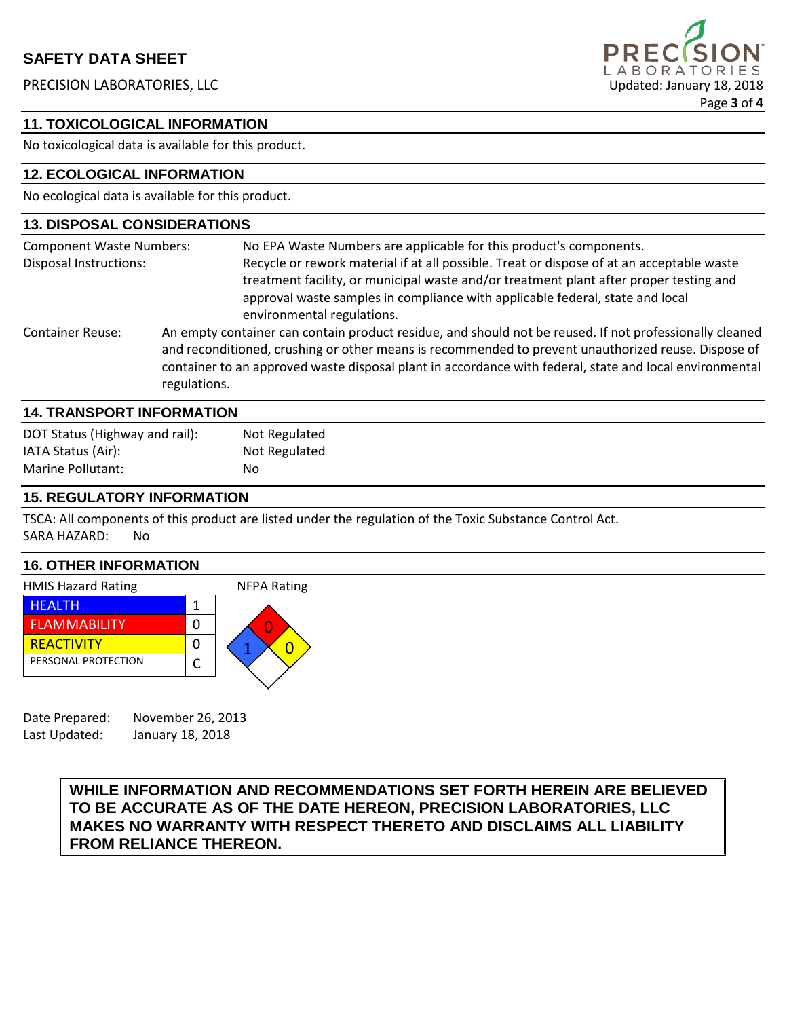# **SAFETY DATA SHEET**

PRECISION LABORATORIES, LLC **Example 2018** Updated: January 18, 2018



### **11. TOXICOLOGICAL INFORMATION**

No toxicological data is available for this product.

### **12. ECOLOGICAL INFORMATION**

No ecological data is available for this product.

| <b>13. DISPOSAL CONSIDERATIONS</b>                               |                                                                                                                                                                                                                                                                                                                                           |
|------------------------------------------------------------------|-------------------------------------------------------------------------------------------------------------------------------------------------------------------------------------------------------------------------------------------------------------------------------------------------------------------------------------------|
| <b>Component Waste Numbers:</b><br><b>Disposal Instructions:</b> | No EPA Waste Numbers are applicable for this product's components.<br>Recycle or rework material if at all possible. Treat or dispose of at an acceptable waste                                                                                                                                                                           |
|                                                                  | treatment facility, or municipal waste and/or treatment plant after proper testing and<br>approval waste samples in compliance with applicable federal, state and local<br>environmental regulations.                                                                                                                                     |
| <b>Container Reuse:</b>                                          | An empty container can contain product residue, and should not be reused. If not professionally cleaned<br>and reconditioned, crushing or other means is recommended to prevent unauthorized reuse. Dispose of<br>container to an approved waste disposal plant in accordance with federal, state and local environmental<br>regulations. |
| <b>14. TRANSPORT INFORMATION</b>                                 |                                                                                                                                                                                                                                                                                                                                           |

| DOT Status (Highway and rail): | Not Regulated |
|--------------------------------|---------------|
| IATA Status (Air):             | Not Regulated |
| <b>Marine Pollutant:</b>       | No            |
|                                |               |

## **15. REGULATORY INFORMATION**

TSCA: All components of this product are listed under the regulation of the Toxic Substance Control Act. SARA HAZARD: No

## **16. OTHER INFORMATION**



Date Prepared: November 26, 2013 Last Updated: January 18, 2018

### **WHILE INFORMATION AND RECOMMENDATIONS SET FORTH HEREIN ARE BELIEVED TO BE ACCURATE AS OF THE DATE HEREON, PRECISION LABORATORIES, LLC MAKES NO WARRANTY WITH RESPECT THERETO AND DISCLAIMS ALL LIABILITY FROM RELIANCE THEREON.**